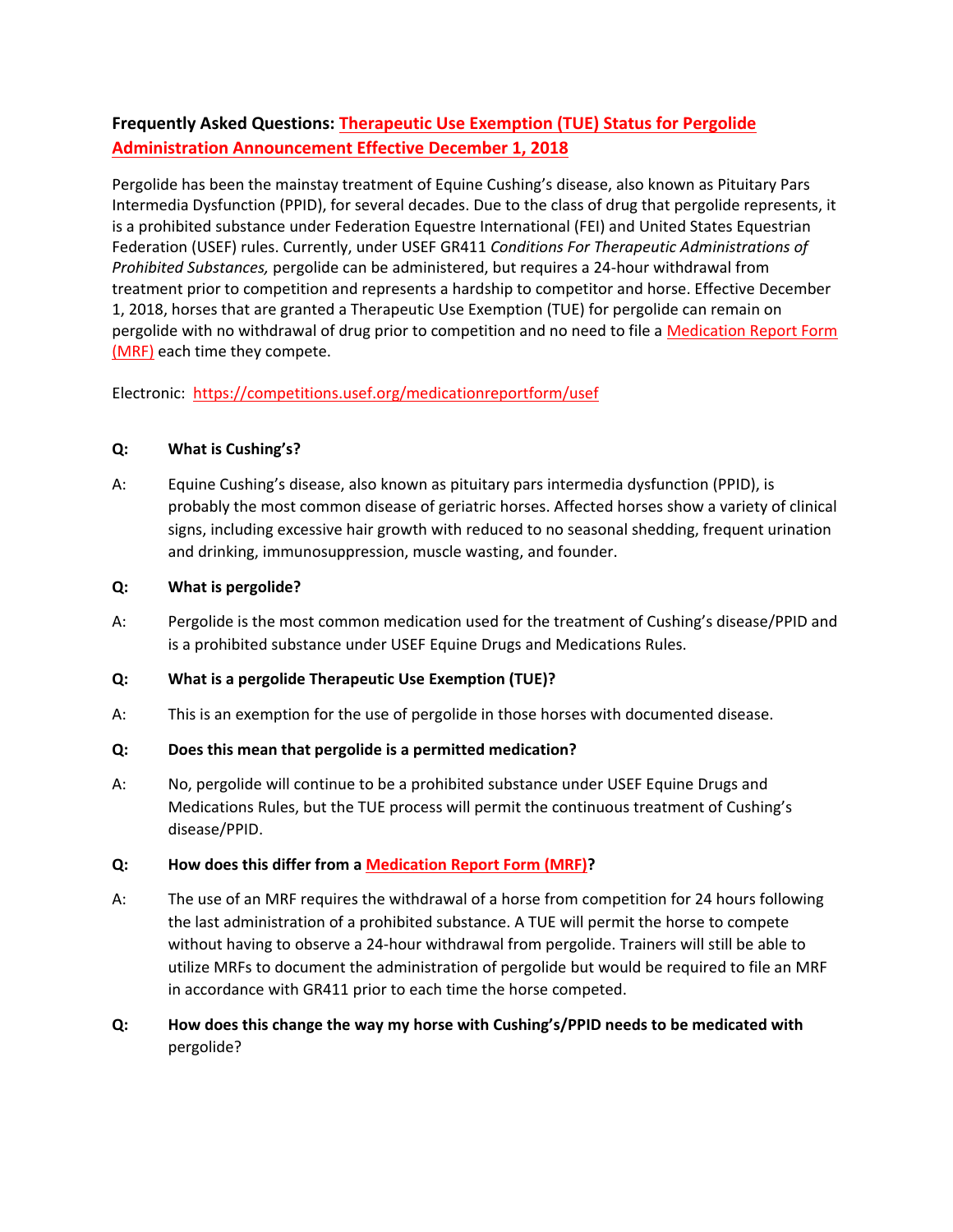# **Frequently Asked Questions: [Therapeutic Use Exemption \(TUE\) Status for Pergolide](https://www.usef.org/media/press-releases/usef-announces-new-therapeutic-use-exemption)  Administration Announcement [Effective December 1, 2018](https://www.usef.org/media/press-releases/usef-announces-new-therapeutic-use-exemption)**

Pergolide has been the mainstay treatment of Equine Cushing's disease, also known as Pituitary Pars Intermedia Dysfunction (PPID), for several decades. Due to the class of drug that pergolide represents, it is a prohibited substance under Federation Equestre International (FEI) and United States Equestrian Federation (USEF) rules. Currently, under USEF GR411 *Conditions For Therapeutic Administrations of Prohibited Substances,* pergolide can be administered, but requires a 24-hour withdrawal from treatment prior to competition and represents a hardship to competitor and horse. Effective December 1, 2018, horses that are granted a Therapeutic Use Exemption (TUE) for pergolide can remain on pergolide with no withdrawal of drug prior to competition and no need to file a [Medication Report Form](https://competitions.usef.org/medicationreportform/usef)  [\(MRF\)](https://competitions.usef.org/medicationreportform/usef) each time they compete.

Electronic: <https://competitions.usef.org/medicationreportform/usef>

## **Q: What is Cushing's?**

A: Equine Cushing's disease, also known as pituitary pars intermedia dysfunction (PPID), is probably the most common disease of geriatric horses. Affected horses show a variety of clinical signs, including excessive hair growth with reduced to no seasonal shedding, frequent urination and drinking, immunosuppression, muscle wasting, and founder.

## **Q: What is pergolide?**

A: Pergolide is the most common medication used for the treatment of Cushing's disease/PPID and is a prohibited substance under USEF Equine Drugs and Medications Rules.

## **Q: What is a pergolide Therapeutic Use Exemption (TUE)?**

A: This is an exemption for the use of pergolide in those horses with documented disease.

## **Q: Does this mean that pergolide is a permitted medication?**

A: No, pergolide will continue to be a prohibited substance under USEF Equine Drugs and Medications Rules, but the TUE process will permit the continuous treatment of Cushing's disease/PPID.

## **Q: How does this differ from a [Medication Report Form \(MRF\)?](https://competitions.usef.org/medicationreportform/usef)**

- A: The use of an MRF requires the withdrawal of a horse from competition for 24 hours following the last administration of a prohibited substance. A TUE will permit the horse to compete without having to observe a 24-hour withdrawal from pergolide. Trainers will still be able to utilize MRFs to document the administration of pergolide but would be required to file an MRF in accordance with GR411 prior to each time the horse competed.
- **Q: How does this change the way my horse with Cushing's/PPID needs to be medicated with** pergolide?